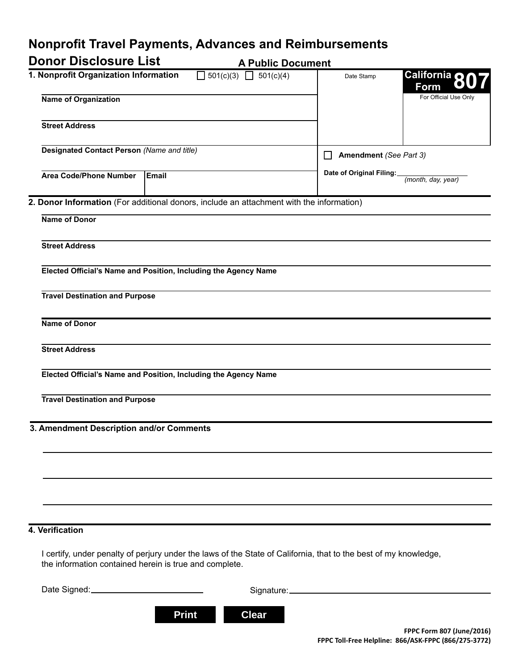# **Nonprofit Travel Payments, Advances and Reimbursements**

| <b>Donor Disclosure List</b><br><b>A Public Document</b>               |                                                                                                                                                                            |                                        |                       |
|------------------------------------------------------------------------|----------------------------------------------------------------------------------------------------------------------------------------------------------------------------|----------------------------------------|-----------------------|
| 1. Nonprofit Organization Information<br>501(c)(3) $\Box$<br>501(c)(4) |                                                                                                                                                                            | Date Stamp                             | California 80<br>Form |
| <b>Name of Organization</b>                                            |                                                                                                                                                                            |                                        | For Official Use Only |
| <b>Street Address</b>                                                  |                                                                                                                                                                            |                                        |                       |
| Designated Contact Person (Name and title)                             |                                                                                                                                                                            | Amendment (See Part 3)<br>$\mathsf{L}$ |                       |
| <b>Area Code/Phone Number</b>                                          | Email                                                                                                                                                                      | Date of Original Filing:               | (month, day, year)    |
|                                                                        | 2. Donor Information (For additional donors, include an attachment with the information)                                                                                   |                                        |                       |
| <b>Name of Donor</b>                                                   |                                                                                                                                                                            |                                        |                       |
| <b>Street Address</b>                                                  |                                                                                                                                                                            |                                        |                       |
|                                                                        | Elected Official's Name and Position, Including the Agency Name                                                                                                            |                                        |                       |
| <b>Travel Destination and Purpose</b>                                  |                                                                                                                                                                            |                                        |                       |
| <b>Name of Donor</b>                                                   |                                                                                                                                                                            |                                        |                       |
| <b>Street Address</b>                                                  |                                                                                                                                                                            |                                        |                       |
|                                                                        | Elected Official's Name and Position, Including the Agency Name                                                                                                            |                                        |                       |
| <b>Travel Destination and Purpose</b>                                  |                                                                                                                                                                            |                                        |                       |
| 3. Amendment Description and/or Comments                               |                                                                                                                                                                            |                                        |                       |
|                                                                        |                                                                                                                                                                            |                                        |                       |
|                                                                        |                                                                                                                                                                            |                                        |                       |
|                                                                        |                                                                                                                                                                            |                                        |                       |
|                                                                        |                                                                                                                                                                            |                                        |                       |
| 4. Verification                                                        |                                                                                                                                                                            |                                        |                       |
|                                                                        | I certify, under penalty of perjury under the laws of the State of California, that to the best of my knowledge,<br>the information contained herein is true and complete. |                                        |                       |
|                                                                        |                                                                                                                                                                            |                                        |                       |

**Print Clear**